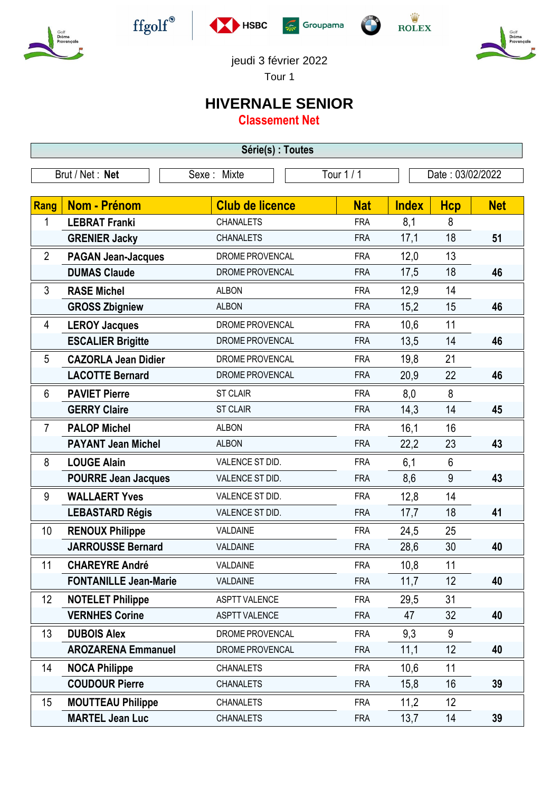











jeudi 3 février 2022

Tour 1

## **HIVERNALE SENIOR**

**Classement Net**

| Série(s) : Toutes |                              |                        |            |                  |            |            |  |  |  |
|-------------------|------------------------------|------------------------|------------|------------------|------------|------------|--|--|--|
|                   | Brut / Net: Net              | Sexe: Mixte            | Tour 1 / 1 | Date: 03/02/2022 |            |            |  |  |  |
|                   |                              |                        |            |                  |            |            |  |  |  |
| Rang              | Nom - Prénom                 | <b>Club de licence</b> | <b>Nat</b> | <b>Index</b>     | <b>Hcp</b> | <b>Net</b> |  |  |  |
| 1                 | <b>LEBRAT Franki</b>         | <b>CHANALETS</b>       | <b>FRA</b> | 8,1              | 8          |            |  |  |  |
|                   | <b>GRENIER Jacky</b>         | <b>CHANALETS</b>       | <b>FRA</b> | 17,1             | 18         | 51         |  |  |  |
| $\overline{2}$    | <b>PAGAN Jean-Jacques</b>    | DROME PROVENCAL        | <b>FRA</b> | 12,0             | 13         |            |  |  |  |
|                   | <b>DUMAS Claude</b>          | DROME PROVENCAL        | <b>FRA</b> | 17,5             | 18         | 46         |  |  |  |
| 3                 | <b>RASE Michel</b>           | <b>ALBON</b>           | <b>FRA</b> | 12,9             | 14         |            |  |  |  |
|                   | <b>GROSS Zbigniew</b>        | <b>ALBON</b>           | <b>FRA</b> | 15,2             | 15         | 46         |  |  |  |
| 4                 | <b>LEROY Jacques</b>         | DROME PROVENCAL        | <b>FRA</b> | 10,6             | 11         |            |  |  |  |
|                   | <b>ESCALIER Brigitte</b>     | DROME PROVENCAL        | <b>FRA</b> | 13,5             | 14         | 46         |  |  |  |
| 5                 | <b>CAZORLA Jean Didier</b>   | DROME PROVENCAL        | <b>FRA</b> | 19,8             | 21         |            |  |  |  |
|                   | <b>LACOTTE Bernard</b>       | DROME PROVENCAL        | <b>FRA</b> | 20,9             | 22         | 46         |  |  |  |
| 6                 | <b>PAVIET Pierre</b>         | <b>ST CLAIR</b>        | <b>FRA</b> | 8,0              | 8          |            |  |  |  |
|                   | <b>GERRY Claire</b>          | <b>ST CLAIR</b>        | <b>FRA</b> | 14,3             | 14         | 45         |  |  |  |
| $\overline{7}$    | <b>PALOP Michel</b>          | <b>ALBON</b>           | <b>FRA</b> | 16,1             | 16         |            |  |  |  |
|                   | <b>PAYANT Jean Michel</b>    | <b>ALBON</b>           | <b>FRA</b> | 22,2             | 23         | 43         |  |  |  |
| 8                 | <b>LOUGE Alain</b>           | VALENCE ST DID.        | <b>FRA</b> | 6,1              | 6          |            |  |  |  |
|                   | <b>POURRE Jean Jacques</b>   | VALENCE ST DID.        | <b>FRA</b> | 8,6              | 9          | 43         |  |  |  |
| 9                 | <b>WALLAERT Yves</b>         | VALENCE ST DID.        | <b>FRA</b> | 12,8             | 14         |            |  |  |  |
|                   | <b>LEBASTARD Régis</b>       | VALENCE ST DID.        | <b>FRA</b> | 17,7             | 18         | 41         |  |  |  |
| 10                | <b>RENOUX Philippe</b>       | VALDAINE               | <b>FRA</b> | 24,5             | 25         |            |  |  |  |
|                   | <b>JARROUSSE Bernard</b>     | VALDAINE               | <b>FRA</b> | 28,6             | 30         | 40         |  |  |  |
| 11                | <b>CHAREYRE André</b>        | <b>VALDAINE</b>        | <b>FRA</b> | 10,8             | 11         |            |  |  |  |
|                   | <b>FONTANILLE Jean-Marie</b> | <b>VALDAINE</b>        | <b>FRA</b> | 11,7             | 12         | 40         |  |  |  |
| 12                | <b>NOTELET Philippe</b>      | <b>ASPTT VALENCE</b>   | <b>FRA</b> | 29,5             | 31         |            |  |  |  |
|                   | <b>VERNHES Corine</b>        | <b>ASPTT VALENCE</b>   | <b>FRA</b> | 47               | 32         | 40         |  |  |  |
| 13                | <b>DUBOIS Alex</b>           | DROME PROVENCAL        | <b>FRA</b> | 9,3              | 9          |            |  |  |  |
|                   | <b>AROZARENA Emmanuel</b>    | DROME PROVENCAL        | <b>FRA</b> | 11,1             | 12         | 40         |  |  |  |
| 14                | <b>NOCA Philippe</b>         | <b>CHANALETS</b>       | <b>FRA</b> | 10,6             | 11         |            |  |  |  |
|                   | <b>COUDOUR Pierre</b>        | <b>CHANALETS</b>       | <b>FRA</b> | 15,8             | 16         | 39         |  |  |  |
| 15                | <b>MOUTTEAU Philippe</b>     | <b>CHANALETS</b>       | <b>FRA</b> | 11,2             | 12         |            |  |  |  |
|                   | <b>MARTEL Jean Luc</b>       | <b>CHANALETS</b>       | <b>FRA</b> | 13,7             | 14         | 39         |  |  |  |
|                   |                              |                        |            |                  |            |            |  |  |  |